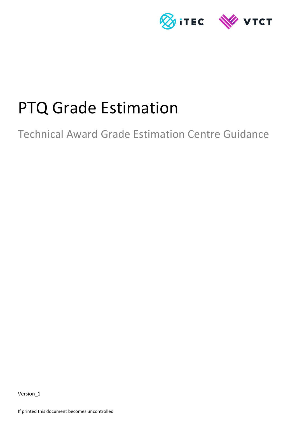

# PTQ Grade Estimation

Technical Award Grade Estimation Centre Guidance

Version\_1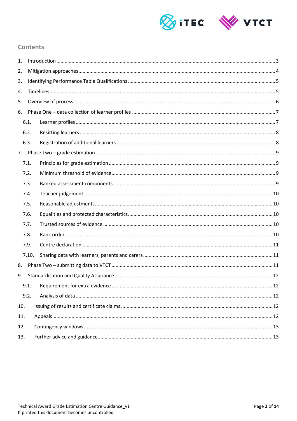

## **Contents**

| 1.  |       |  |  |  |  |
|-----|-------|--|--|--|--|
| 2.  |       |  |  |  |  |
| 3.  |       |  |  |  |  |
| 4.  |       |  |  |  |  |
| 5.  |       |  |  |  |  |
| 6.  |       |  |  |  |  |
|     | 6.1.  |  |  |  |  |
|     | 6.2.  |  |  |  |  |
|     | 6.3.  |  |  |  |  |
| 7.  |       |  |  |  |  |
|     | 7.1.  |  |  |  |  |
|     | 7.2.  |  |  |  |  |
|     | 7.3.  |  |  |  |  |
|     | 7.4.  |  |  |  |  |
|     | 7.5.  |  |  |  |  |
|     | 7.6.  |  |  |  |  |
|     | 7.7.  |  |  |  |  |
|     | 7.8.  |  |  |  |  |
|     | 7.9.  |  |  |  |  |
|     | 7.10. |  |  |  |  |
| 8.  |       |  |  |  |  |
| 9.  |       |  |  |  |  |
|     | 9.1.  |  |  |  |  |
|     | 9.2.  |  |  |  |  |
| 10. |       |  |  |  |  |
| 11. |       |  |  |  |  |
| 12. |       |  |  |  |  |
| 13. |       |  |  |  |  |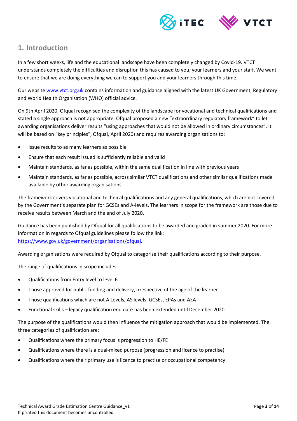

# <span id="page-2-0"></span>**1. Introduction**

In a few short weeks, life and the educational landscape have been completely changed by Covid-19. VTCT understands completely the difficulties and disruption this has caused to you, your learners and your staff. We want to ensure that we are doing everything we can to support you and your learners through this time.

Our website [www.vtct.org.uk](http://www.vtct.org.uk/) contains information and guidance aligned with the latest UK Government, Regulatory and World Health Organisation (WHO) official advice.

On 9th April 2020, Ofqual recognised the complexity of the landscape for vocational and technical qualifications and stated a single approach is not appropriate. Ofqual proposed a new "extraordinary regulatory framework" to let awarding organisations deliver results "using approaches that would not be allowed in ordinary circumstances". It will be based on "key principles", Ofqual, April 2020) and requires awarding organisations to:

- Issue results to as many learners as possible
- Ensure that each result issued is sufficiently reliable and valid
- Maintain standards, as far as possible, within the same qualification in line with previous years
- Maintain standards, as far as possible, across similar VTCT qualifications and other similar qualifications made available by other awarding organisations

The framework covers vocational and technical qualifications and any general qualifications, which are not covered by the Government's separate plan for GCSEs and A-levels. The learners in scope for the framework are those due to receive results between March and the end of July 2020.

Guidance has been published by Ofqual for all qualifications to be awarded and graded in summer 2020. For more information in regards to Ofqual guidelines please follow the link: [https://www.gov.uk/government/organisations/ofqual.](https://www.gov.uk/government/organisations/ofqual)

Awarding organisations were required by Ofqual to categorise their qualifications according to their purpose.

The range of qualifications in scope includes:

- Qualifications from Entry level to level 6
- Those approved for public funding and delivery, irrespective of the age of the learner
- Those qualifications which are not A Levels, AS levels, GCSEs, EPAs and AEA
- Functional skills legacy qualification end date has been extended until December 2020

The purpose of the qualifications would then influence the mitigation approach that would be implemented. The three categories of qualification are:

- Qualifications where the primary focus is progression to HE/FE
- Qualifications where there is a dual-mixed purpose (progression and licence to practise)
- Qualifications where their primary use is licence to practise or occupational competency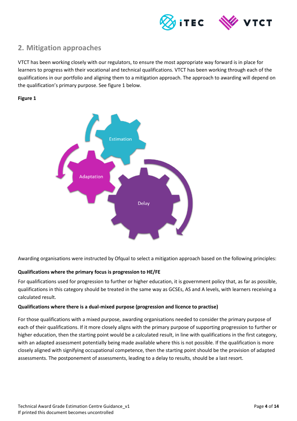

# <span id="page-3-0"></span>**2. Mitigation approaches**

VTCT has been working closely with our regulators, to ensure the most appropriate way forward is in place for learners to progress with their vocational and technical qualifications. VTCT has been working through each of the qualifications in our portfolio and aligning them to a mitigation approach. The approach to awarding will depend on the qualification's primary purpose. See figure 1 below.

#### **Figure 1**



Awarding organisations were instructed by Ofqual to select a mitigation approach based on the following principles:

#### **Qualifications where the primary focus is progression to HE/FE**

For qualifications used for progression to further or higher education, it is government policy that, as far as possible, qualifications in this category should be treated in the same way as GCSEs, AS and A levels, with learners receiving a calculated result.

#### **Qualifications where there is a dual-mixed purpose (progression and licence to practise)**

For those qualifications with a mixed purpose, awarding organisations needed to consider the primary purpose of each of their qualifications. If it more closely aligns with the primary purpose of supporting progression to further or higher education, then the starting point would be a calculated result, in line with qualifications in the first category, with an adapted assessment potentially being made available where this is not possible. If the qualification is more closely aligned with signifying occupational competence, then the starting point should be the provision of adapted assessments. The postponement of assessments, leading to a delay to results, should be a last resort.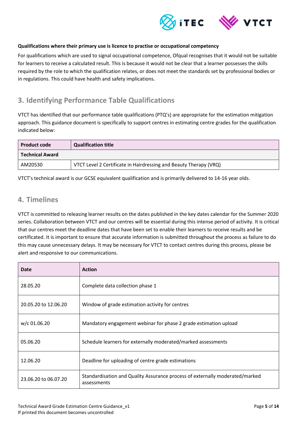

#### **Qualifications where their primary use is licence to practise or occupational competency**

For qualifications which are used to signal occupational competence, Ofqual recognises that it would not be suitable for learners to receive a calculated result. This is because it would not be clear that a learner possesses the skills required by the role to which the qualification relates, or does not meet the standards set by professional bodies or in regulations. This could have health and safety implications.

# <span id="page-4-0"></span>**3. Identifying Performance Table Qualifications**

VTCT has identified that our performance table qualifications (PTQ's) are appropriate for the estimation mitigation approach. This guidance document is specifically to support centres in estimating centre grades for the qualification indicated below:

| <b>Product code</b>    | <b>Qualification title</b>                                        |  |  |  |
|------------------------|-------------------------------------------------------------------|--|--|--|
| <b>Technical Award</b> |                                                                   |  |  |  |
| AM20530                | VTCT Level 2 Certificate in Hairdressing and Beauty Therapy (VRQ) |  |  |  |

VTCT's technical award is our GCSE equivalent qualification and is primarily delivered to 14-16 year olds.

## <span id="page-4-1"></span>**4. Timelines**

VTCT is committed to releasing learner results on the dates published in the key dates calendar for the Summer 2020 series. Collaboration between VTCT and our centres will be essential during this intense period of activity. It is critical that our centres meet the deadline dates that have been set to enable their learners to receive results and be certificated. It is important to ensure that accurate information is submitted throughout the process as failure to do this may cause unnecessary delays. It may be necessary for VTCT to contact centres during this process, please be alert and responsive to our communications.

| Date                 | <b>Action</b>                                                                               |
|----------------------|---------------------------------------------------------------------------------------------|
| 28.05.20             | Complete data collection phase 1                                                            |
| 20.05.20 to 12.06.20 | Window of grade estimation activity for centres                                             |
| w/c 01.06.20         | Mandatory engagement webinar for phase 2 grade estimation upload                            |
| 05.06.20             | Schedule learners for externally moderated/marked assessments                               |
| 12.06.20             | Deadline for uploading of centre grade estimations                                          |
| 23.06.20 to 06.07.20 | Standardisation and Quality Assurance process of externally moderated/marked<br>assessments |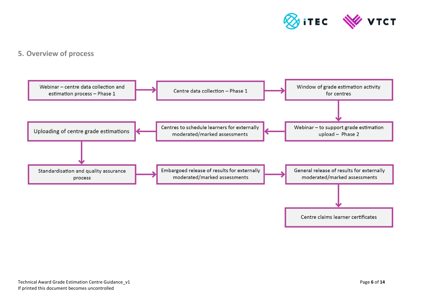

# **5. Overview of process**

<span id="page-5-0"></span>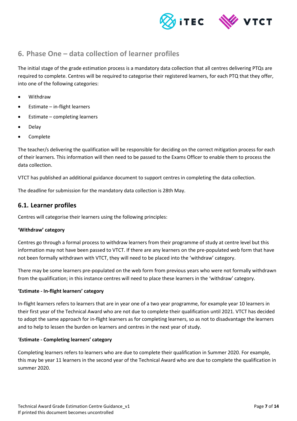



# <span id="page-6-0"></span>**6. Phase One – data collection of learner profiles**

The initial stage of the grade estimation process is a mandatory data collection that all centres delivering PTQs are required to complete. Centres will be required to categorise their registered learners, for each PTQ that they offer, into one of the following categories:

- Withdraw
- Estimate in-flight learners
- Estimate completing learners
- Delay
- Complete

The teacher/s delivering the qualification will be responsible for deciding on the correct mitigation process for each of their learners. This information will then need to be passed to the Exams Officer to enable them to process the data collection.

VTCT has published an additional guidance document to support centres in completing the data collection.

The deadline for submission for the mandatory data collection is 28th May.

### <span id="page-6-1"></span>**6.1. Learner profiles**

Centres will categorise their learners using the following principles:

#### **'Withdraw' category**

Centres go through a formal process to withdraw learners from their programme of study at centre level but this information may not have been passed to VTCT. If there are any learners on the pre-populated web form that have not been formally withdrawn with VTCT, they will need to be placed into the 'withdraw' category.

There may be some learners pre-populated on the web form from previous years who were not formally withdrawn from the qualification; in this instance centres will need to place these learners in the 'withdraw' category.

#### **'Estimate - In-flight learners' category**

In-flight learners refers to learners that are in year one of a two year programme, for example year 10 learners in their first year of the Technical Award who are not due to complete their qualification until 2021. VTCT has decided to adopt the same approach for in-flight learners as for completing learners, so as not to disadvantage the learners and to help to lessen the burden on learners and centres in the next year of study.

#### '**Estimate - Completing learners' category**

Completing learners refers to learners who are due to complete their qualification in Summer 2020. For example, this may be year 11 learners in the second year of the Technical Award who are due to complete the qualification in summer 2020.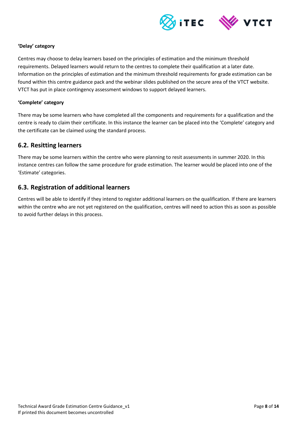

#### **'Delay' category**

Centres may choose to delay learners based on the principles of estimation and the minimum threshold requirements. Delayed learners would return to the centres to complete their qualification at a later date. Information on the principles of estimation and the minimum threshold requirements for grade estimation can be found within this centre guidance pack and the webinar slides published on the secure area of the VTCT website. VTCT has put in place contingency assessment windows to support delayed learners.

#### **'Complete' category**

There may be some learners who have completed all the components and requirements for a qualification and the centre is ready to claim their certificate. In this instance the learner can be placed into the 'Complete' category and the certificate can be claimed using the standard process.

## <span id="page-7-0"></span>**6.2. Resitting learners**

There may be some learners within the centre who were planning to resit assessments in summer 2020. In this instance centres can follow the same procedure for grade estimation. The learner would be placed into one of the 'Estimate' categories.

## <span id="page-7-1"></span>**6.3. Registration of additional learners**

Centres will be able to identify if they intend to register additional learners on the qualification. If there are learners within the centre who are not yet registered on the qualification, centres will need to action this as soon as possible to avoid further delays in this process.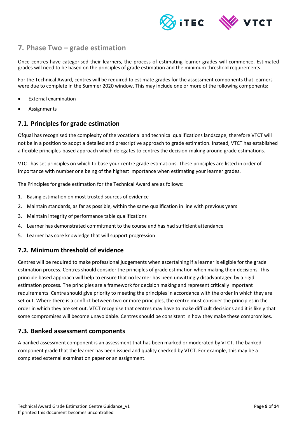

# <span id="page-8-0"></span>**7. Phase Two – grade estimation**

Once centres have categorised their learners, the process of estimating learner grades will commence. Estimated grades will need to be based on the principles of grade estimation and the minimum threshold requirements.

For the Technical Award, centres will be required to estimate grades for the assessment components that learners were due to complete in the Summer 2020 window. This may include one or more of the following components:

- External examination
- Assignments

## <span id="page-8-1"></span>**7.1. Principles for grade estimation**

Ofqual has recognised the complexity of the vocational and technical qualifications landscape, therefore VTCT will not be in a position to adopt a detailed and prescriptive approach to grade estimation. Instead, VTCT has established a flexible principles-based approach which delegates to centres the decision-making around grade estimations.

VTCT has set principles on which to base your centre grade estimations. These principles are listed in order of importance with number one being of the highest importance when estimating your learner grades.

The Principles for grade estimation for the Technical Award are as follows:

- 1. Basing estimation on most trusted sources of evidence
- 2. Maintain standards, as far as possible, within the same qualification in line with previous years
- 3. Maintain integrity of performance table qualifications
- 4. Learner has demonstrated commitment to the course and has had sufficient attendance
- 5. Learner has core knowledge that will support progression

## <span id="page-8-2"></span>**7.2. Minimum threshold of evidence**

Centres will be required to make professional judgements when ascertaining if a learner is eligible for the grade estimation process. Centres should consider the principles of grade estimation when making their decisions. This principle based approach will help to ensure that no learner has been unwittingly disadvantaged by a rigid estimation process. The principles are a framework for decision making and represent critically important requirements. Centre should give priority to meeting the principles in accordance with the order in which they are set out. Where there is a conflict between two or more principles, the centre must consider the principles in the order in which they are set out. VTCT recognise that centres may have to make difficult decisions and it is likely that some compromises will become unavoidable. Centres should be consistent in how they make these compromises.

## <span id="page-8-3"></span>**7.3. Banked assessment components**

A banked assessment component is an assessment that has been marked or moderated by VTCT. The banked component grade that the learner has been issued and quality checked by VTCT. For example, this may be a completed external examination paper or an assignment.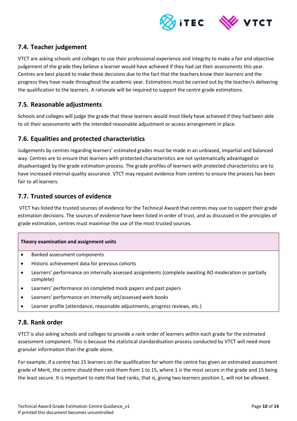

# <span id="page-9-0"></span>**7.4. Teacher judgement**

VTCT are asking schools and colleges to use their professional experience and integrity to make a fair and objective judgement of the grade they believe a learner would have achieved if they had sat their assessments this year. Centres are best placed to make these decisions due to the fact that the teachers know their learners and the progress they have made throughout the academic year. Estimations must be carried out by the teacher/s delivering the qualification to the learners. A rationale will be required to support the centre grade estimations.

## <span id="page-9-1"></span>**7.5. Reasonable adjustments**

Schools and colleges will judge the grade that these learners would most likely have achieved if they had been able to sit their assessments with the intended reasonable adjustment or access arrangement in place.

## <span id="page-9-2"></span>**7.6. Equalities and protected characteristics**

Judgements by centres regarding learners' estimated grades must be made in an unbiased, impartial and balanced way. Centres are to ensure that learners with protected characteristics are not systematically advantaged or disadvantaged by the grade estimation process. The grade profiles of learners with protected characteristics are to have increased internal quality assurance. VTCT may request evidence from centres to ensure the process has been fair to all learners.

## <span id="page-9-3"></span>**7.7. Trusted sources of evidence**

VTCT has listed the trusted sources of evidence for the Technical Award that centres may use to support their grade estimation decisions. The sources of evidence have been listed in order of trust, and as discussed in the principles of grade estimation, centres must maximise the use of the most trusted sources.

#### **Theory examination and assignment units**

- Banked assessment components
- Historic achievement data for previous cohorts
- Learners' performance on internally assessed assignments (complete awaiting AO moderation or partially complete)
- Learners' performance on completed mock papers and past papers
- Learners' performance on internally set/assessed work books
- Learner profile (attendance, reasonable adjustments, progress reviews, etc.)

## <span id="page-9-4"></span>**7.8. Rank order**

VTCT is also asking schools and colleges to provide a rank order of learners within each grade for the estimated assessment component. This is because the statistical standardisation process conducted by VTCT will need more granular information than the grade alone.

For example, if a centre has 15 learners on the qualification for whom the centre has given an estimated assessment grade of Merit, the centre should then rank them from 1 to 15, where 1 is the most secure in the grade and 15 being the least secure. It is important to note that tied ranks, that is, giving two learners position 1, will not be allowed.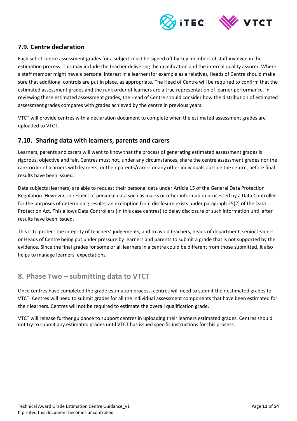

# <span id="page-10-0"></span>**7.9. Centre declaration**

Each set of centre assessment grades for a subject must be signed off by key members of staff involved in the estimation process. This may include the teacher delivering the qualification and the internal quality assurer. Where a staff member might have a personal interest in a learner (for example as a relative), Heads of Centre should make sure that additional controls are put in place, as appropriate. The Head of Centre will be required to confirm that the estimated assessment grades and the rank order of learners are a true representation of learner performance. In reviewing these estimated assessment grades, the Head of Centre should consider how the distribution of estimated assessment grades compares with grades achieved by the centre in previous years.

VTCT will provide centres with a declaration document to complete when the estimated assessment grades are uploaded to VTCT.

## <span id="page-10-1"></span>**7.10. Sharing data with learners, parents and carers**

Learners, parents and carers will want to know that the process of generating estimated assessment grades is rigorous, objective and fair. Centres must not, under any circumstances, share the centre assessment grades nor the rank order of learners with learners, or their parents/carers or any other individuals outside the centre, before final results have been issued.

Data subjects (learners) are able to request their personal data under Article 15 of the General Data Protection Regulation. However, in respect of personal data such as marks or other information processed by a Data Controller for the purposes of determining results, an exemption from disclosure exists under paragraph 25(2) of the Data Protection Act. This allows Data Controllers (in this case centres) to delay disclosure of such information until after results have been issued.

This is to protect the integrity of teachers' judgements, and to avoid teachers, heads of department, senior leaders or Heads of Centre being put under pressure by learners and parents to submit a grade that is not supported by the evidence. Since the final grades for some or all learners in a centre could be different from those submitted, it also helps to manage learners' expectations.

# <span id="page-10-2"></span>**8. Phase Two – submitting data to VTCT**

Once centres have completed the grade estimation process, centres will need to submit their estimated grades to VTCT. Centres will need to submit grades for all the individual assessment components that have been estimated for their learners. Centres will not be required to estimate the overall qualification grade.

VTCT will release further guidance to support centres in uploading their learners estimated grades. Centres should not try to submit any estimated grades until VTCT has issued specific instructions for this process.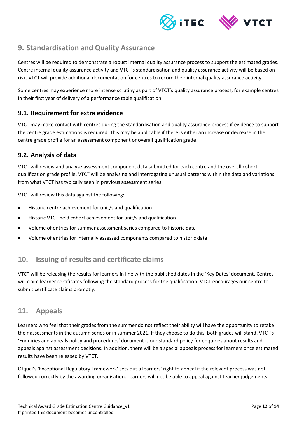

# <span id="page-11-0"></span>**9. Standardisation and Quality Assurance**

Centres will be required to demonstrate a robust internal quality assurance process to support the estimated grades. Centre internal quality assurance activity and VTCT's standardisation and quality assurance activity will be based on risk. VTCT will provide additional documentation for centres to record their internal quality assurance activity.

Some centres may experience more intense scrutiny as part of VTCT's quality assurance process, for example centres in their first year of delivery of a performance table qualification.

## <span id="page-11-1"></span>**9.1. Requirement for extra evidence**

VTCT may make contact with centres during the standardisation and quality assurance process if evidence to support the centre grade estimations is required. This may be applicable if there is either an increase or decrease in the centre grade profile for an assessment component or overall qualification grade.

## <span id="page-11-2"></span>**9.2. Analysis of data**

VTCT will review and analyse assessment component data submitted for each centre and the overall cohort qualification grade profile. VTCT will be analysing and interrogating unusual patterns within the data and variations from what VTCT has typically seen in previous assessment series.

VTCT will review this data against the following:

- Historic centre achievement for unit/s and qualification
- Historic VTCT held cohort achievement for unit/s and qualification
- Volume of entries for summer assessment series compared to historic data
- <span id="page-11-3"></span>Volume of entries for internally assessed components compared to historic data

# **10. Issuing of results and certificate claims**

VTCT will be releasing the results for learners in line with the published dates in the 'Key Dates' document. Centres will claim learner certificates following the standard process for the qualification. VTCT encourages our centre to submit certificate claims promptly.

# <span id="page-11-4"></span>**11. Appeals**

Learners who feel that their grades from the summer do not reflect their ability will have the opportunity to retake their assessments in the autumn series or in summer 2021. If they choose to do this, both grades will stand. VTCT's 'Enquiries and appeals policy and procedures' document is our standard policy for enquiries about results and appeals against assessment decisions. In addition, there will be a special appeals process for learners once estimated results have been released by VTCT.

Ofqual's 'Exceptional Regulatory Framework' sets out a learners' right to appeal if the relevant process was not followed correctly by the awarding organisation. Learners will not be able to appeal against teacher judgements.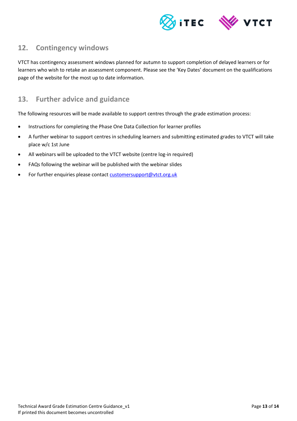

# <span id="page-12-0"></span>**12. Contingency windows**

VTCT has contingency assessment windows planned for autumn to support completion of delayed learners or for learners who wish to retake an assessment component. Please see the 'Key Dates' document on the qualifications page of the website for the most up to date information.

# <span id="page-12-1"></span>**13. Further advice and guidance**

The following resources will be made available to support centres through the grade estimation process:

- Instructions for completing the Phase One Data Collection for learner profiles
- A further webinar to support centres in scheduling learners and submitting estimated grades to VTCT will take place w/c 1st June
- All webinars will be uploaded to the VTCT website (centre log-in required)
- FAQs following the webinar will be published with the webinar slides
- For further enquiries please contact [customersupport@vtct.org.uk](mailto:customersupport@vtct.org.uk)